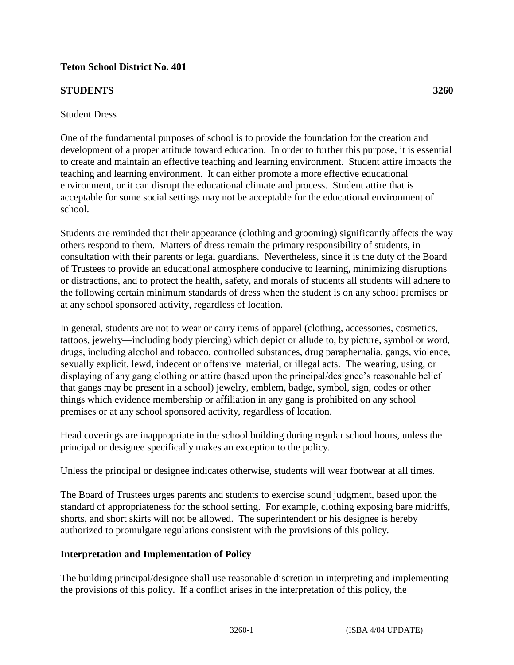### **Teton School District No. 401**

### **STUDENTS 3260**

#### Student Dress

One of the fundamental purposes of school is to provide the foundation for the creation and development of a proper attitude toward education. In order to further this purpose, it is essential to create and maintain an effective teaching and learning environment. Student attire impacts the teaching and learning environment. It can either promote a more effective educational environment, or it can disrupt the educational climate and process. Student attire that is acceptable for some social settings may not be acceptable for the educational environment of school.

Students are reminded that their appearance (clothing and grooming) significantly affects the way others respond to them. Matters of dress remain the primary responsibility of students, in consultation with their parents or legal guardians. Nevertheless, since it is the duty of the Board of Trustees to provide an educational atmosphere conducive to learning, minimizing disruptions or distractions, and to protect the health, safety, and morals of students all students will adhere to the following certain minimum standards of dress when the student is on any school premises or at any school sponsored activity, regardless of location.

In general, students are not to wear or carry items of apparel (clothing, accessories, cosmetics, tattoos, jewelry—including body piercing) which depict or allude to, by picture, symbol or word, drugs, including alcohol and tobacco, controlled substances, drug paraphernalia, gangs, violence, sexually explicit, lewd, indecent or offensive material, or illegal acts. The wearing, using, or displaying of any gang clothing or attire (based upon the principal/designee's reasonable belief that gangs may be present in a school) jewelry, emblem, badge, symbol, sign, codes or other things which evidence membership or affiliation in any gang is prohibited on any school premises or at any school sponsored activity, regardless of location.

Head coverings are inappropriate in the school building during regular school hours, unless the principal or designee specifically makes an exception to the policy.

Unless the principal or designee indicates otherwise, students will wear footwear at all times.

The Board of Trustees urges parents and students to exercise sound judgment, based upon the standard of appropriateness for the school setting. For example, clothing exposing bare midriffs, shorts, and short skirts will not be allowed. The superintendent or his designee is hereby authorized to promulgate regulations consistent with the provisions of this policy.

#### **Interpretation and Implementation of Policy**

The building principal/designee shall use reasonable discretion in interpreting and implementing the provisions of this policy. If a conflict arises in the interpretation of this policy, the